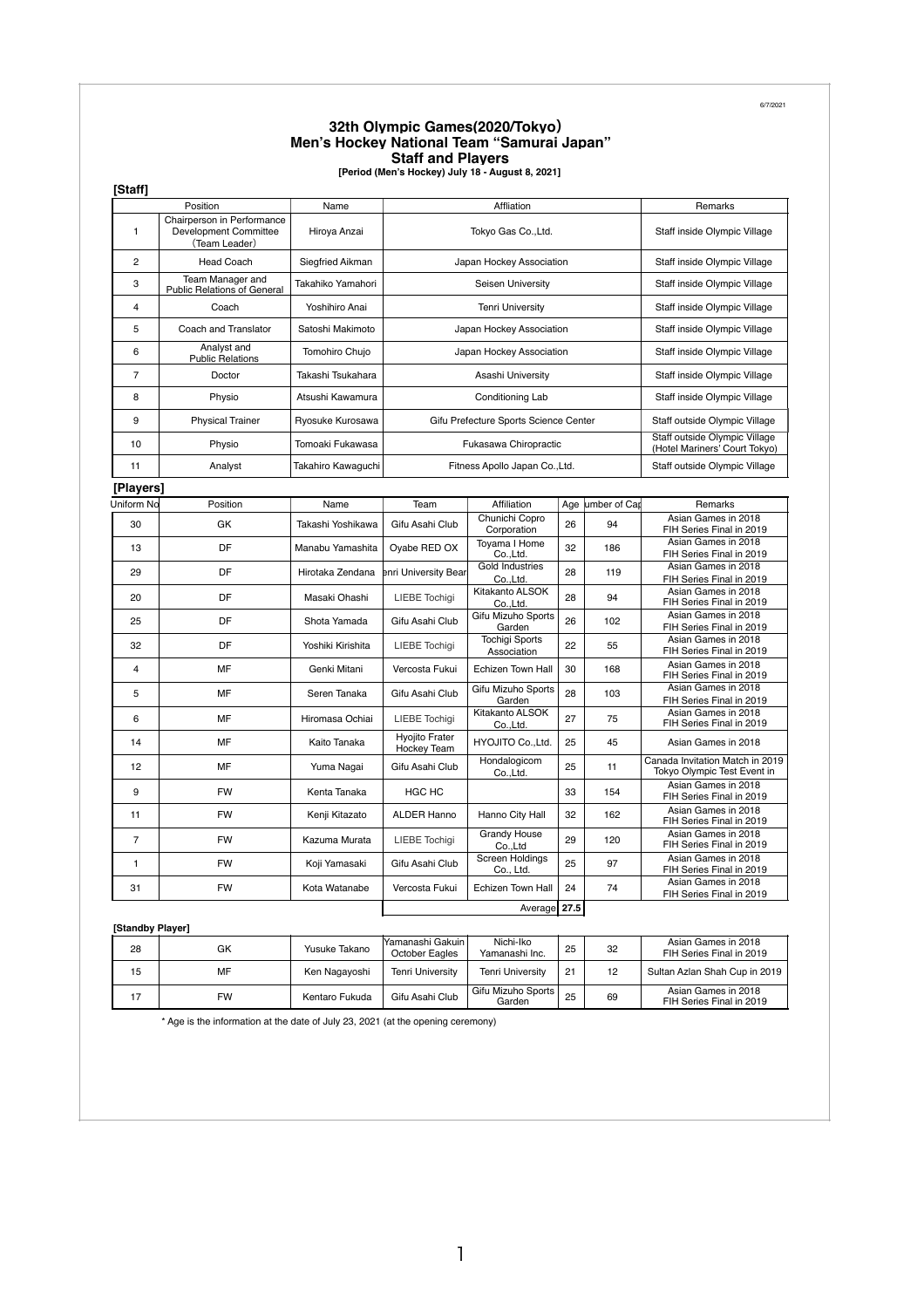6/7/2021

## **32th Olympic Games(2020/Tokyo**) **Men's Hockey National Team "Samurai Japan" Staff and Players [Period (Men's Hockey) July 18 - August 8, 2021]**

|  | Period (Men's Hockey) July 18 - August 8, 2021 |  |  |  |
|--|------------------------------------------------|--|--|--|
|  |                                                |  |  |  |

| [Staff]        |                                                                                      |                                           |                                                 |                                       |                                                 |                                                                |                                                                |  |  |
|----------------|--------------------------------------------------------------------------------------|-------------------------------------------|-------------------------------------------------|---------------------------------------|-------------------------------------------------|----------------------------------------------------------------|----------------------------------------------------------------|--|--|
|                | Position                                                                             | Name                                      | Affliation                                      |                                       |                                                 | Remarks                                                        |                                                                |  |  |
| $\mathbf{1}$   | Chairperson in Performance<br>Development Committee<br>Hiroya Anzai<br>(Team Leader) |                                           | Tokyo Gas Co., Ltd.                             |                                       |                                                 |                                                                | Staff inside Olympic Village                                   |  |  |
| $\overline{2}$ | <b>Head Coach</b>                                                                    | Siegfried Aikman                          | Japan Hockey Association                        |                                       |                                                 | Staff inside Olympic Village                                   |                                                                |  |  |
| 3              | Team Manager and<br>Public Relations of General                                      | Takahiko Yamahori                         | Seisen University                               |                                       |                                                 | Staff inside Olympic Village                                   |                                                                |  |  |
| $\overline{4}$ | Coach                                                                                | Yoshihiro Anai                            | <b>Tenri University</b>                         |                                       |                                                 | Staff inside Olympic Village                                   |                                                                |  |  |
| 5              | Coach and Translator                                                                 | Satoshi Makimoto                          | Japan Hockey Association                        |                                       |                                                 | Staff inside Olympic Village                                   |                                                                |  |  |
| 6              | Analyst and<br><b>Public Relations</b>                                               | Tomohiro Chujo                            | Japan Hockey Association                        |                                       |                                                 | Staff inside Olympic Village                                   |                                                                |  |  |
| $\overline{7}$ | Doctor                                                                               | Takashi Tsukahara                         |                                                 | Asashi University                     |                                                 |                                                                | Staff inside Olympic Village                                   |  |  |
| 8              | Physio                                                                               | Atsushi Kawamura                          | Conditioning Lab                                |                                       |                                                 | Staff inside Olympic Village                                   |                                                                |  |  |
| 9              | <b>Physical Trainer</b>                                                              | Ryosuke Kurosawa                          |                                                 | Gifu Prefecture Sports Science Center |                                                 |                                                                | Staff outside Olympic Village                                  |  |  |
| 10             | Physio                                                                               | Tomoaki Fukawasa<br>Fukasawa Chiropractic |                                                 |                                       |                                                 | Staff outside Olympic Village<br>(Hotel Mariners' Court Tokyo) |                                                                |  |  |
| 11             | Analyst                                                                              | Takahiro Kawaguchi                        | Fitness Apollo Japan Co., Ltd.                  |                                       |                                                 | Staff outside Olympic Village                                  |                                                                |  |  |
| [Players]      |                                                                                      |                                           |                                                 |                                       |                                                 |                                                                |                                                                |  |  |
| Uniform No     | Position                                                                             | Name                                      | Team                                            | Affiliation                           | Age                                             | umber of Car                                                   | Remarks                                                        |  |  |
| 30             | GK                                                                                   | Takashi Yoshikawa                         | Gifu Asahi Club                                 | Chunichi Copro<br>Corporation         | 26                                              | 94                                                             | Asian Games in 2018<br>FIH Series Final in 2019                |  |  |
| 13             | DF                                                                                   | Manabu Yamashita                          | Oyabe RED OX                                    | Toyama I Home<br>Co., Ltd.            | 32                                              | 186                                                            | Asian Games in 2018<br>FIH Series Final in 2019                |  |  |
| 29             | DF                                                                                   | Hirotaka Zendana                          | enri University Bear                            | Gold Industries<br>Co.,Ltd.           | 28                                              | 119                                                            | Asian Games in 2018<br>FIH Series Final in 2019                |  |  |
| 20             | DF                                                                                   | Masaki Ohashi                             | <b>LIEBE</b> Tochigi                            | Kitakanto ALSOK<br>Co.,Ltd.           | 28                                              | 94                                                             | Asian Games in 2018<br>FIH Series Final in 2019                |  |  |
| 25             | DF                                                                                   | Shota Yamada                              | Gifu Asahi Club                                 | Gifu Mizuho Sports<br>Garden          | 26                                              | 102                                                            | Asian Games in 2018<br>FIH Series Final in 2019                |  |  |
| 32             | DF                                                                                   | Yoshiki Kirishita                         | <b>LIEBE</b> Tochiqi                            | <b>Tochigi Sports</b><br>Association  | 22                                              | 55                                                             | Asian Games in 2018<br>FIH Series Final in 2019                |  |  |
| $\overline{4}$ | MF                                                                                   | Genki Mitani                              | Vercosta Fukui                                  | Echizen Town Hall                     | 30                                              | 168                                                            | Asian Games in 2018<br>FIH Series Final in 2019                |  |  |
| 5              | MF                                                                                   | Seren Tanaka                              | Gifu Asahi Club                                 | Gifu Mizuho Sports<br>Garden          | 28                                              | 103                                                            | Asian Games in 2018<br>FIH Series Final in 2019                |  |  |
| 6              | MF                                                                                   | Hiromasa Ochiai                           | <b>LIEBE Tochigi</b>                            | Kitakanto ALSOK<br>Co., Ltd.          | 27                                              | 75                                                             | Asian Games in 2018<br>FIH Series Final in 2019                |  |  |
| 14             | MF                                                                                   | Kaito Tanaka                              | <b>Hyojito Frater</b><br>Hockey Team            | <b>HYOJITO Co., Ltd.</b>              | 25                                              | 45                                                             | Asian Games in 2018                                            |  |  |
| 12             | MF                                                                                   | Yuma Nagai                                | Gifu Asahi Club                                 | Hondalogicom<br>Co., Ltd.             | 25                                              | 11                                                             | Canada Invitation Match in 2019<br>Tokyo Olympic Test Event in |  |  |
| 9              | <b>FW</b>                                                                            | Kenta Tanaka                              | <b>HGC HC</b>                                   |                                       | 33                                              | 154                                                            | Asian Games in 2018<br>FIH Series Final in 2019                |  |  |
| 11             | <b>FW</b>                                                                            | Kenji Kitazato                            | <b>ALDER Hanno</b>                              | Hanno City Hall                       | 32                                              | 162                                                            | Asian Games in 2018<br>FIH Series Final in 2019                |  |  |
| $\overline{7}$ | <b>FW</b>                                                                            | Kazuma Murata                             | <b>LIEBE</b> Tochiqi                            | <b>Grandy House</b><br>Co.,Ltd        | 29                                              | 120                                                            | Asian Games in 2018<br>FIH Series Final in 2019                |  |  |
| $\mathbf{1}$   | <b>FW</b>                                                                            | Koji Yamasaki                             | Gifu Asahi Club                                 | Screen Holdings<br>Co., Ltd.          | 25                                              | 97                                                             | Asian Games in 2018<br>FIH Series Final in 2019                |  |  |
| 31             | <b>FW</b>                                                                            | Kota Watanabe                             | 74<br>Vercosta Fukui<br>Echizen Town Hall<br>24 |                                       | Asian Games in 2018<br>FIH Series Final in 2019 |                                                                |                                                                |  |  |
|                |                                                                                      |                                           |                                                 | Average 27.5                          |                                                 |                                                                |                                                                |  |  |

## **[Standby Player]**

| 28 | GK | Yusuke Takano  | lYamanashi Gakuin.<br>October Eagles | Nichi-Iko<br>Yamanashi Inc.  | 25 | 32 | Asian Games in 2018<br>FIH Series Final in 2019 |
|----|----|----------------|--------------------------------------|------------------------------|----|----|-------------------------------------------------|
| 15 | MF | Ken Nagayoshi  | Tenri University                     | <b>Tenri University</b>      | 21 | 12 | Sultan Azlan Shah Cup in 2019                   |
| 17 | FW | Kentaro Fukuda | Gifu Asahi Club                      | Gifu Mizuho Sports<br>Garden | 25 | 69 | Asian Games in 2018<br>FIH Series Final in 2019 |

\* Age is the information at the date of July 23, 2021 (at the opening ceremony)